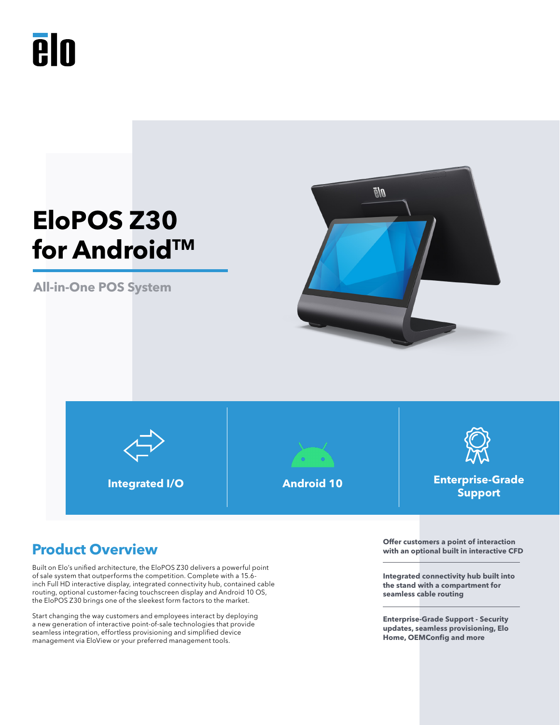# **elo**

## **EloPOS Z30 for Android™**

**All-in-One POS System**









**Integrated I/O Android 10 Enterprise-Grade Support**

### **Product Overview**

Built on Elo's unified architecture, the EloPOS Z30 delivers a powerful point of sale system that outperforms the competition. Complete with a 15.6 inch Full HD interactive display, integrated connectivity hub, contained cable routing, optional customer-facing touchscreen display and Android 10 OS, the EloPOS Z30 brings one of the sleekest form factors to the market.

Start changing the way customers and employees interact by deploying a new generation of interactive point-of-sale technologies that provide seamless integration, effortless provisioning and simplified device management via EloView or your preferred management tools.

**Offer customers a point of interaction with an optional built in interactive CFD**

**Integrated connectivity hub built into the stand with a compartment for seamless cable routing**

**Enterprise-Grade Support - Security updates, seamless provisioning, Elo Home, OEMConfig and more**